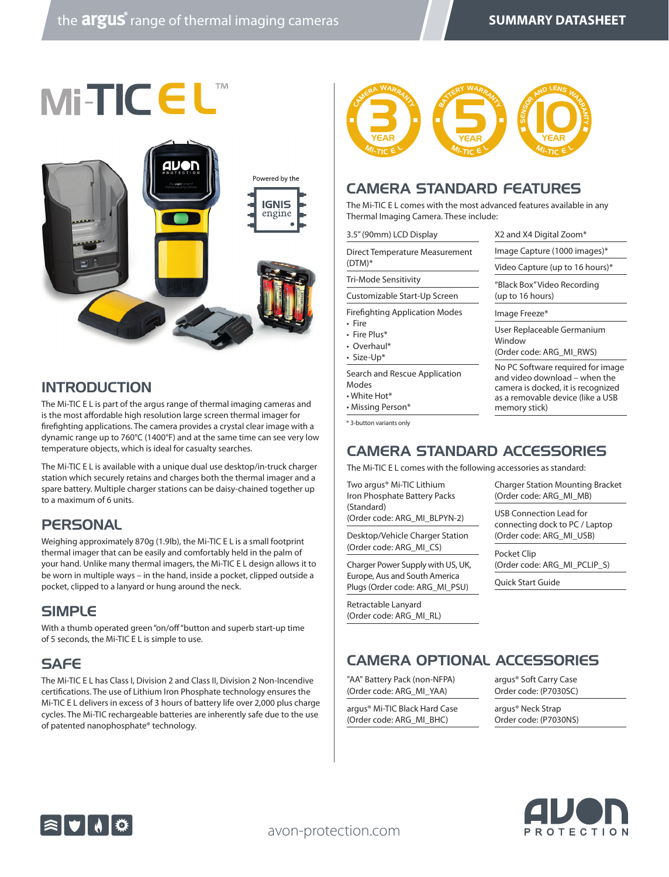



### INTRODUCTION

The Mi-TIC E L is part of the argus range of thermal imaging cameras and is the most affordable high resolution large screen thermal imager for firefighting applications. The camera provides a crystal clear image with a dynamic range up to 760°C (1400°F) and at the same time can see very low temperature objects, which is ideal for casualty searches.

The Mi-TIC E L is available with a unique dual use desktop/in-truck charger station which securely retains and charges both the thermal imager and a spare battery. Multiple charger stations can be daisy-chained together up to a maximum of 6 units.

### **PERSONAL**

Weighing approximately 870g (1.9lb), the Mi-TIC E L is a small footprint thermal imager that can be easily and comfortably held in the palm of your hand. Unlike many thermal imagers, the Mi-TIC E L design allows it to be worn in multiple ways – in the hand, inside a pocket, clipped outside a pocket, clipped to a lanyard or hung around the neck.

#### SIMPLE

With a thumb operated green "on/off "button and superb start-up time of 5 seconds, the Mi-TIC E L is simple to use.

### **SAFF**

The Mi-TIC E L has Class I, Division 2 and Class II, Division 2 Non-Incendive certifications. The use of Lithium Iron Phosphate technology ensures the Mi-TIC E L delivers in excess of 3 hours of battery life over 2,000 plus charge cycles. The Mi-TIC rechargeable batteries are inherently safe due to the use of patented nanophosphate® technology.



#### CAMERA STANDARD FEATURES

The Mi-TIC E L comes with the most advanced features available in any Thermal Imaging Camera. These include:

| 3.5" (90mm) LCD Display                                                           | X2 and X4 Digital Zoom*                                                                                                                                        |                                                                                                    |
|-----------------------------------------------------------------------------------|----------------------------------------------------------------------------------------------------------------------------------------------------------------|----------------------------------------------------------------------------------------------------|
| Direct Temperature Measurement                                                    | Image Capture (1000 images)*                                                                                                                                   |                                                                                                    |
| $(DTM)*$                                                                          | Video Capture (up to 16 hours)*                                                                                                                                |                                                                                                    |
| Tri-Mode Sensitivity<br>Customizable Start-Up Screen                              | "Black Box" Video Recording<br>(up to 16 hours)                                                                                                                |                                                                                                    |
|                                                                                   |                                                                                                                                                                | <b>Firefighting Application Modes</b><br>• Fire<br>• Fire Plus*<br>• Overhaul*<br>$\cdot$ Size-Up* |
| User Replaceable Germanium<br>Window<br>(Order code: ARG MI RWS)                  |                                                                                                                                                                |                                                                                                    |
| Search and Rescue Application<br>Modes<br>$\cdot$ White Hot*<br>• Missing Person* | No PC Software required for image<br>and video download – when the<br>camera is docked, it is recognized<br>as a removable device (like a USB<br>memory stick) |                                                                                                    |
| * 3-button variants only                                                          |                                                                                                                                                                |                                                                                                    |

## CAMERA STANDARD ACCESSORIES

The Mi-TIC E L comes with the following accessories as standard:

Two argus® Mi-TIC Lithium Iron Phosphate Battery Packs (Standard)

(Order code: ARG\_MI\_BLPYN-2)

Desktop/Vehicle Charger Station (Order code: ARG\_MI\_CS)

Charger Power Supply with US, UK, Europe, Aus and South America Plugs (Order code: ARG\_MI\_PSU)

Retractable Lanyard (Order code: ARG\_MI\_RL) Charger Station Mounting Bracket (Order code: ARG\_MI\_MB)

USB Connection Lead for connecting dock to PC / Laptop (Order code: ARG\_MI\_USB)

Pocket Clip (Order code: ARG\_MI\_PCLIP\_S)

Quick Start Guide

# CAMERA OPTIONAL ACCESSORIES

"AA" Battery Pack (non-NFPA) (Order code: ARG\_MI\_YAA)

argus® Mi-TIC Black Hard Case (Order code: ARG\_MI\_BHC)

argus® Soft Carry Case Order code: (P7030SC)

argus® Neck Strap Order code: (P7030NS)